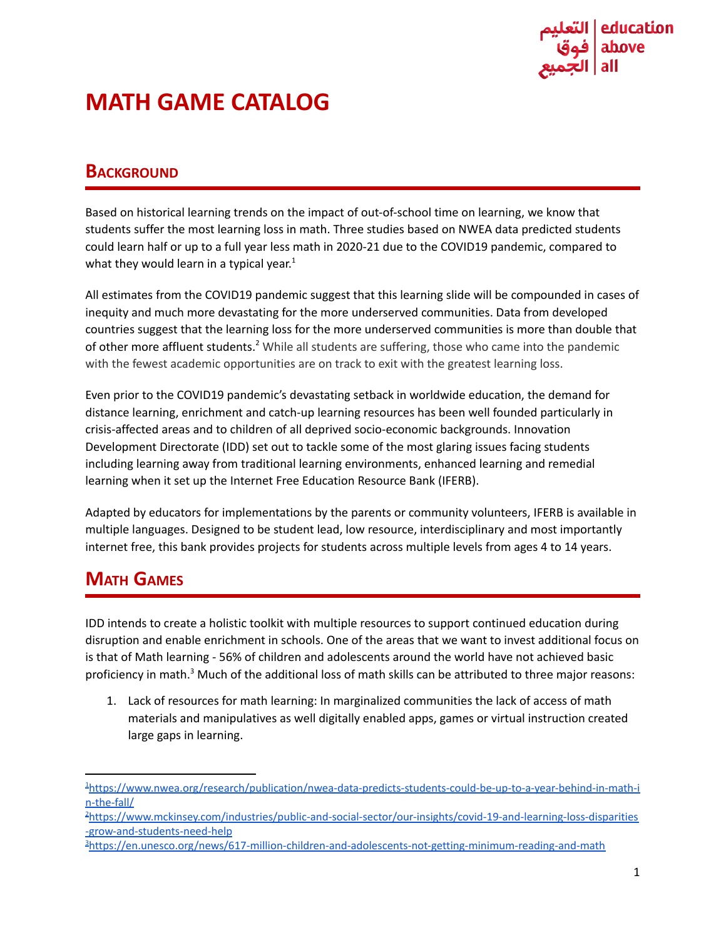

# **MATH GAME CATALOG**

## **BACKGROUND**

Based on historical learning trends on the impact of out-of-school time on learning, we know that students suffer the most learning loss in math. Three studies based on NWEA data predicted students could learn half or up to a full year less math in 2020-21 due to the COVID19 pandemic, compared to what they would learn in a typical year.<sup>1</sup>

All estimates from the COVID19 pandemic suggest that this learning slide will be compounded in cases of inequity and much more devastating for the more underserved communities. Data from developed countries suggest that the learning loss for the more underserved communities is more than double that of other more affluent students.<sup>2</sup> While all students are suffering, those who came into the pandemic with the fewest academic opportunities are on track to exit with the greatest learning loss.

Even prior to the COVID19 pandemic's devastating setback in worldwide education, the demand for distance learning, enrichment and catch-up learning resources has been well founded particularly in crisis-affected areas and to children of all deprived socio-economic backgrounds. Innovation Development Directorate (IDD) set out to tackle some of the most glaring issues facing students including learning away from traditional learning environments, enhanced learning and remedial learning when it set up the Internet Free Education Resource Bank (IFERB).

Adapted by educators for implementations by the parents or community volunteers, IFERB is available in multiple languages. Designed to be student lead, low resource, interdisciplinary and most importantly internet free, this bank provides projects for students across multiple levels from ages 4 to 14 years.

# **MATH GAMES**

IDD intends to create a holistic toolkit with multiple resources to support continued education during disruption and enable enrichment in schools. One of the areas that we want to invest additional focus on is that of Math learning - 56% of children and adolescents around the world have not achieved basic proficiency in math.<sup>3</sup> Much of the additional loss of math skills can be attributed to three major reasons:

1. Lack of resources for math learning: In marginalized communities the lack of access of math materials and manipulatives as well digitally enabled apps, games or virtual instruction created large gaps in learning.

<sup>1</sup>[https://www.nwea.org/research/publication/nwea-data-predicts-students-could-be-up-to-a-year-behind-in-math-i](https://www.nwea.org/research/publication/nwea-data-predicts-students-could-be-up-to-a-year-behind-in-math-in-the-fall/) [n-the-fall/](https://www.nwea.org/research/publication/nwea-data-predicts-students-could-be-up-to-a-year-behind-in-math-in-the-fall/)

<sup>2</sup>[https://www.mckinsey.com/industries/public-and-social-sector/our-insights/covid-19-and-learning-loss-disparities](https://www.mckinsey.com/industries/public-and-social-sector/our-insights/covid-19-and-learning-loss-disparities-grow-and-students-need-help) [-grow-and-students-need-help](https://www.mckinsey.com/industries/public-and-social-sector/our-insights/covid-19-and-learning-loss-disparities-grow-and-students-need-help)

<sup>3</sup><https://en.unesco.org/news/617-million-children-and-adolescents-not-getting-minimum-reading-and-math>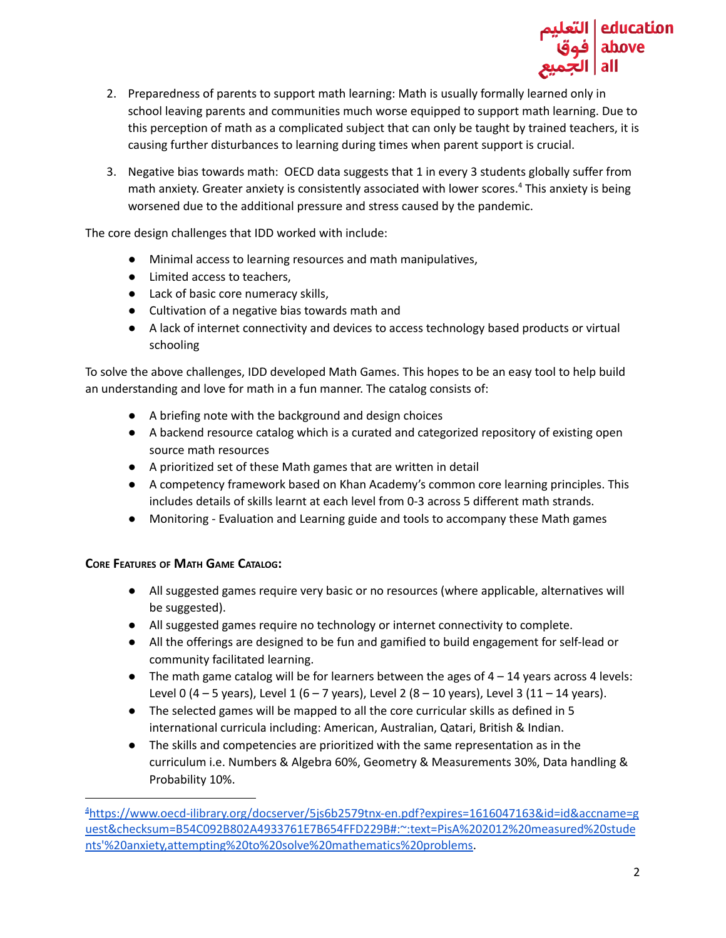

- 2. Preparedness of parents to support math learning: Math is usually formally learned only in school leaving parents and communities much worse equipped to support math learning. Due to this perception of math as a complicated subject that can only be taught by trained teachers, it is causing further disturbances to learning during times when parent support is crucial.
- 3. Negative bias towards math: OECD data suggests that 1 in every 3 students globally suffer from math anxiety. Greater anxiety is consistently associated with lower scores. <sup>4</sup> This anxiety is being worsened due to the additional pressure and stress caused by the pandemic.

The core design challenges that IDD worked with include:

- Minimal access to learning resources and math manipulatives,
- Limited access to teachers,
- Lack of basic core numeracy skills,
- Cultivation of a negative bias towards math and
- A lack of internet connectivity and devices to access technology based products or virtual schooling

To solve the above challenges, IDD developed Math Games. This hopes to be an easy tool to help build an understanding and love for math in a fun manner. The catalog consists of:

- A briefing note with the background and design choices
- A backend resource catalog which is a curated and categorized repository of existing open source math resources
- A prioritized set of these Math games that are written in detail
- A competency framework based on Khan Academy's common core learning principles. This includes details of skills learnt at each level from 0-3 across 5 different math strands.
- Monitoring Evaluation and Learning guide and tools to accompany these Math games

#### **CORE FEATURES OF MATH GAME CATALOG:**

- All suggested games require very basic or no resources (where applicable, alternatives will be suggested).
- All suggested games require no technology or internet connectivity to complete.
- All the offerings are designed to be fun and gamified to build engagement for self-lead or community facilitated learning.
- $\bullet$  The math game catalog will be for learners between the ages of  $4 14$  years across 4 levels: Level 0 (4 – 5 years), Level 1 (6 – 7 years), Level 2 (8 – 10 years), Level 3 (11 – 14 years).
- The selected games will be mapped to all the core curricular skills as defined in 5 international curricula including: American, Australian, Qatari, British & Indian.
- The skills and competencies are prioritized with the same representation as in the curriculum i.e. Numbers & Algebra 60%, Geometry & Measurements 30%, Data handling & Probability 10%.

<sup>4</sup>[https://www.oecd-ilibrary.org/docserver/5js6b2579tnx-en.pdf?expires=1616047163&id=id&accname=g](https://www.oecd-ilibrary.org/docserver/5js6b2579tnx-en.pdf?expires=1616047163&id=id&accname=guest&checksum=B54C092B802A4933761E7B654FFD229B#:~:text=PisA%202012%20measured%20students) [uest&checksum=B54C092B802A4933761E7B654FFD229B#:~:text=PisA%202012%20measured%20stude](https://www.oecd-ilibrary.org/docserver/5js6b2579tnx-en.pdf?expires=1616047163&id=id&accname=guest&checksum=B54C092B802A4933761E7B654FFD229B#:~:text=PisA%202012%20measured%20students) [nts'%20anxiety,attempting%20to%20solve%20mathematics%20problems](https://www.oecd-ilibrary.org/docserver/5js6b2579tnx-en.pdf?expires=1616047163&id=id&accname=guest&checksum=B54C092B802A4933761E7B654FFD229B#:~:text=PisA%202012%20measured%20students).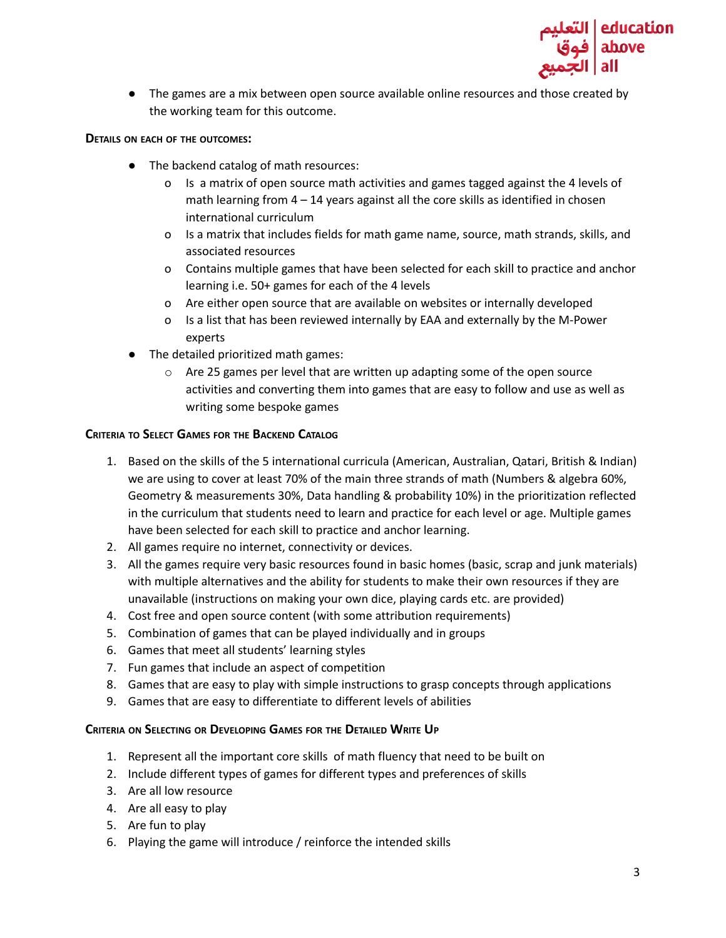

● The games are a mix between open source available online resources and those created by the working team for this outcome.

#### **DETAILS ON EACH OF THE OUTCOMES:**

- The backend catalog of math resources:
	- o Is a matrix of open source math activities and games tagged against the 4 levels of math learning from  $4 - 14$  years against all the core skills as identified in chosen international curriculum
	- o Is a matrix that includes fields for math game name, source, math strands, skills, and associated resources
	- o Contains multiple games that have been selected for each skill to practice and anchor learning i.e. 50+ games for each of the 4 levels
	- o Are either open source that are available on websites or internally developed
	- o Is a list that has been reviewed internally by EAA and externally by the M-Power experts
- The detailed prioritized math games:
	- o Are 25 games per level that are written up adapting some of the open source activities and converting them into games that are easy to follow and use as well as writing some bespoke games

#### **CRITERIA TO SELECT GAMES FOR THE BACKEND CATALOG**

- 1. Based on the skills of the 5 international curricula (American, Australian, Qatari, British & Indian) we are using to cover at least 70% of the main three strands of math (Numbers & algebra 60%, Geometry & measurements 30%, Data handling & probability 10%) in the prioritization reflected in the curriculum that students need to learn and practice for each level or age. Multiple games have been selected for each skill to practice and anchor learning.
- 2. All games require no internet, connectivity or devices.
- 3. All the games require very basic resources found in basic homes (basic, scrap and junk materials) with multiple alternatives and the ability for students to make their own resources if they are unavailable (instructions on making your own dice, playing cards etc. are provided)
- 4. Cost free and open source content (with some attribution requirements)
- 5. Combination of games that can be played individually and in groups
- 6. Games that meet all students' learning styles
- 7. Fun games that include an aspect of competition
- 8. Games that are easy to play with simple instructions to grasp concepts through applications
- 9. Games that are easy to differentiate to different levels of abilities

#### **CRITERIA ON SELECTING OR DEVELOPING GAMES FOR THE DETAILED WRITE UP**

- 1. Represent all the important core skills of math fluency that need to be built on
- 2. Include different types of games for different types and preferences of skills
- 3. Are all low resource
- 4. Are all easy to play
- 5. Are fun to play
- 6. Playing the game will introduce / reinforce the intended skills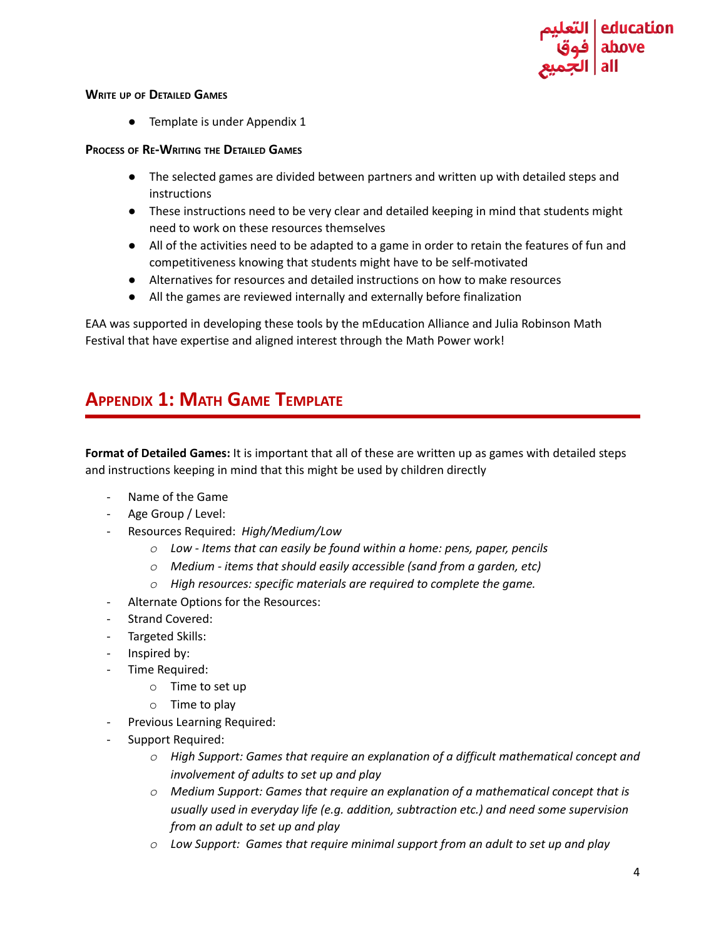

#### **WRITE UP OF DETAILED GAMES**

● Template is under Appendix 1

#### **PROCESS OF RE-WRITING THE DETAILED GAMES**

- The selected games are divided between partners and written up with detailed steps and instructions
- These instructions need to be very clear and detailed keeping in mind that students might need to work on these resources themselves
- All of the activities need to be adapted to a game in order to retain the features of fun and competitiveness knowing that students might have to be self-motivated
- Alternatives for resources and detailed instructions on how to make resources
- All the games are reviewed internally and externally before finalization

EAA was supported in developing these tools by the mEducation Alliance and Julia Robinson Math Festival that have expertise and aligned interest through the Math Power work!

# **APPENDIX 1: MATH GAME TEMPLATE**

**Format of Detailed Games:** It is important that all of these are written up as games with detailed steps and instructions keeping in mind that this might be used by children directly

- Name of the Game
- Age Group / Level:
- Resources Required: *High/Medium/Low*
	- *o Low - Items that can easily be found within a home: pens, paper, pencils*
	- *o Medium - items that should easily accessible (sand from a garden, etc)*
	- *o High resources: specific materials are required to complete the game.*
- Alternate Options for the Resources:
- Strand Covered:
- Targeted Skills:
- *-* Inspired by:
- *-* Time Required:
	- o Time to set up
	- $\circ$  Time to play
- *-* Previous Learning Required:
- Support Required:
	- *o High Support: Games that require an explanation of a difficult mathematical concept and involvement of adults to set up and play*
	- *o Medium Support: Games that require an explanation of a mathematical concept that is usually used in everyday life (e.g. addition, subtraction etc.) and need some supervision from an adult to set up and play*
	- *o Low Support: Games that require minimal support from an adult to set up and play*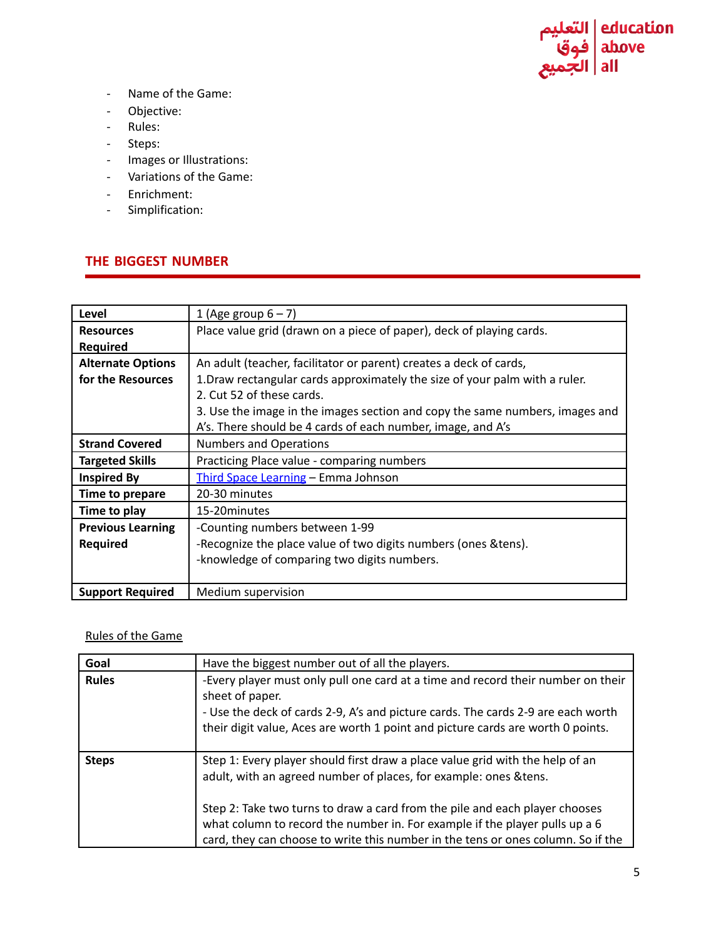

- Name of the Game:
- *-* Objective:
- Rules:
- Steps:
- *-* Images or Illustrations:
- Variations of the Game:
- Enrichment:
- Simplification:

### **THE BIGGEST NUMBER**

| Level                    | 1 (Age group $6-7$ )                                                         |
|--------------------------|------------------------------------------------------------------------------|
| <b>Resources</b>         | Place value grid (drawn on a piece of paper), deck of playing cards.         |
| <b>Required</b>          |                                                                              |
| <b>Alternate Options</b> | An adult (teacher, facilitator or parent) creates a deck of cards,           |
| for the Resources        | 1. Draw rectangular cards approximately the size of your palm with a ruler.  |
|                          | 2. Cut 52 of these cards.                                                    |
|                          | 3. Use the image in the images section and copy the same numbers, images and |
|                          | A's. There should be 4 cards of each number, image, and A's                  |
| <b>Strand Covered</b>    | <b>Numbers and Operations</b>                                                |
| <b>Targeted Skills</b>   | Practicing Place value - comparing numbers                                   |
| <b>Inspired By</b>       | Third Space Learning - Emma Johnson                                          |
| Time to prepare          | 20-30 minutes                                                                |
| Time to play             | 15-20 minutes                                                                |
| <b>Previous Learning</b> | -Counting numbers between 1-99                                               |
| <b>Required</b>          | -Recognize the place value of two digits numbers (ones & tens).              |
|                          | -knowledge of comparing two digits numbers.                                  |
|                          |                                                                              |
| <b>Support Required</b>  | Medium supervision                                                           |

### Rules of the Game

| Goal         | Have the biggest number out of all the players.                                                                                                                                                                                                                                                                                                                                                      |
|--------------|------------------------------------------------------------------------------------------------------------------------------------------------------------------------------------------------------------------------------------------------------------------------------------------------------------------------------------------------------------------------------------------------------|
| <b>Rules</b> | -Every player must only pull one card at a time and record their number on their<br>sheet of paper.<br>- Use the deck of cards 2-9, A's and picture cards. The cards 2-9 are each worth<br>their digit value, Aces are worth 1 point and picture cards are worth 0 points.                                                                                                                           |
| <b>Steps</b> | Step 1: Every player should first draw a place value grid with the help of an<br>adult, with an agreed number of places, for example: ones & tens.<br>Step 2: Take two turns to draw a card from the pile and each player chooses<br>what column to record the number in. For example if the player pulls up a 6<br>card, they can choose to write this number in the tens or ones column. So if the |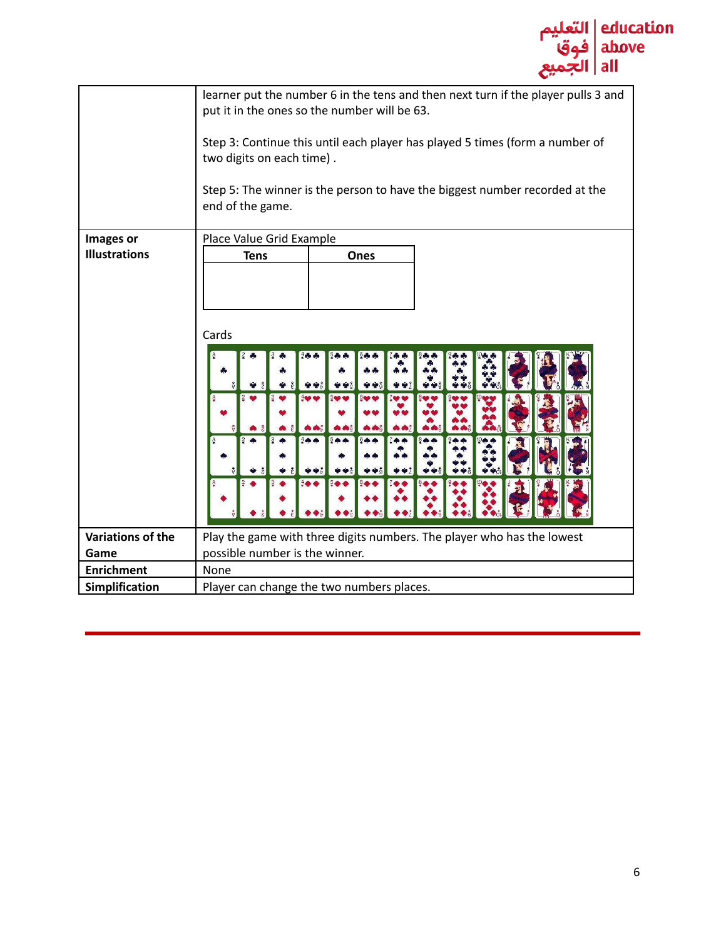

|                      | learner put the number 6 in the tens and then next turn if the player pulls 3 and<br>put it in the ones so the number will be 63.<br>Step 3: Continue this until each player has played 5 times (form a number of<br>two digits on each time).<br>Step 5: The winner is the person to have the biggest number recorded at the<br>end of the game. |
|----------------------|---------------------------------------------------------------------------------------------------------------------------------------------------------------------------------------------------------------------------------------------------------------------------------------------------------------------------------------------------|
| Images or            | Place Value Grid Example                                                                                                                                                                                                                                                                                                                          |
| <b>Illustrations</b> | <b>Tens</b><br>Ones                                                                                                                                                                                                                                                                                                                               |
|                      | Cards<br>$+$<br>$\bullet$                                                                                                                                                                                                                                                                                                                         |
| Variations of the    | Play the game with three digits numbers. The player who has the lowest                                                                                                                                                                                                                                                                            |
| Game                 | possible number is the winner.                                                                                                                                                                                                                                                                                                                    |
| <b>Enrichment</b>    | None                                                                                                                                                                                                                                                                                                                                              |
| Simplification       | Player can change the two numbers places.                                                                                                                                                                                                                                                                                                         |